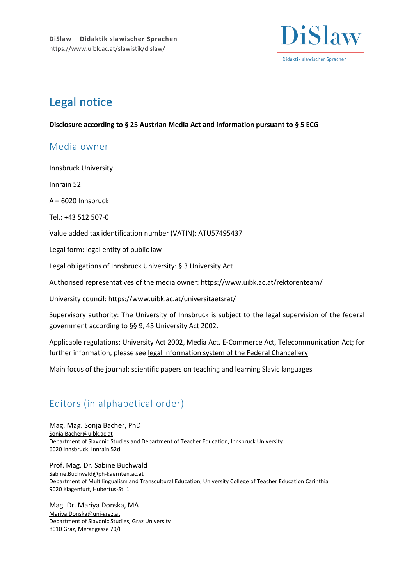

# Legal notice

**Disclosure according to § 25 Austrian Media Act and information pursuant to § 5 ECG**

## Media owner

Innsbruck University

Innrain 52

A – 6020 Innsbruck

Tel.: +43 512 507-0

Value added tax identification number (VATIN): ATU57495437

Legal form: legal entity of public law

Legal obligations of Innsbruck University[: § 3 University Act](https://www.ris.bka.gv.at/GeltendeFassung.wxe?Abfrage=Bundesnormen&Gesetzesnummer=20002128)

Authorised representatives of the media owner[: https://www.uibk.ac.at/rektorenteam/](https://www.uibk.ac.at/rektorenteam/)

University council[: https://www.uibk.ac.at/universitaetsrat/](https://www.uibk.ac.at/universitaetsrat/)

Supervisory authority: The University of Innsbruck is subject to the legal supervision of the federal government according to §§ 9, 45 University Act 2002.

Applicable regulations: University Act 2002, Media Act, E-Commerce Act, Telecommunication Act; for further information, please see [legal information system of the Federal Chancellery](https://www.ris.bka.gv.at/defaultEn.aspx)

Main focus of the journal: scientific papers on teaching and learning Slavic languages

# Editors (in alphabetical order)

[Mag. Mag. Sonja Bacher, PhD](https://www.uibk.ac.at/slawistik/institut/bacher.html) [Sonja.Bacher@uibk.ac.at](mailto:Sonja.Bacher@uibk.ac.at) Department of Slavonic Studies and Department of Teacher Education, Innsbruck University 6020 Innsbruck, Innrain 52d

[Prof. Mag. Dr. Sabine Buchwald](https://www.ph-online.ac.at/ph-ktn/visitenkarte.show_vcard?pPersonenId=597EF1BD95C24961&pPersonenGruppe=3) [Sabine.Buchwald@ph-kaernten.ac.at](mailto:Sabine.Buchwald@ph-kaernten.ac.at) Department of Multilingualism and Transcultural Education, University College of Teacher Education Carinthia 9020 Klagenfurt, Hubertus-St. 1

[Mag. Dr. Mariya Donska, MA](https://online.uni-graz.at/kfu_online/visitenkarte.show_vcard?pPersonenId=896E9B96E8AA6052&pPersonenGruppe=3) [Mariya.Donska@uni-graz.at](mailto:Mariya.Donska@uni-graz.at) Department of Slavonic Studies, Graz University 8010 Graz, Merangasse 70/I